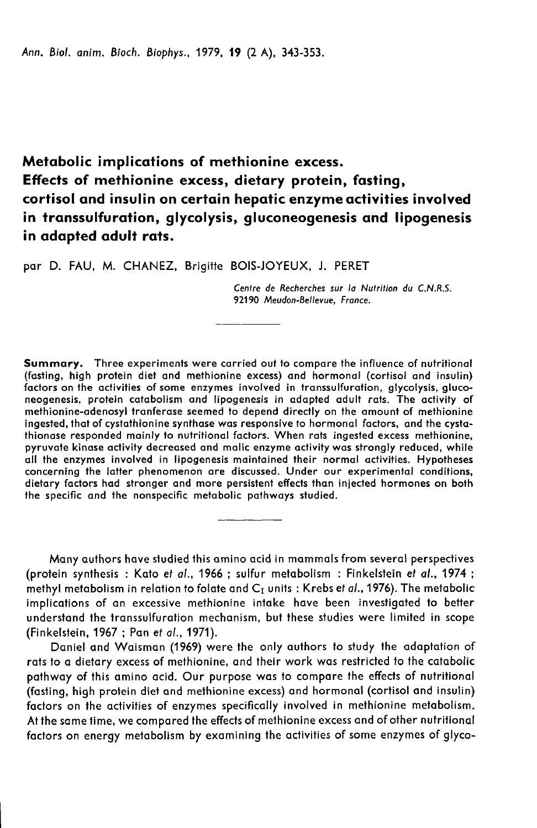Ann. Biol. anim. Bioch. Biophys., 1979, 19 (2 A), 343-353.

Metabolic implications of methionine excess. Effects of methionine excess, dietary protein, fasting, cortisol and insulin on certain hepatic enzyme activities involved in transsulfuration, glycolysis, gluconeogenesis and lipogenesis in adapted adult rats.

par D. FAU, M. CHANEZ, Brigitte BOIS-JOYEUX, J. PERET

Centre de Recherches sur la Nutrition du C.N.R.S. 92190 Meudon-Bellevue, France.

Summary. Three experiments were carried out to compare the influence of nutritional (fasting, high protein diet and methionine excess) and hormonal (cortisol and insulin) factors on the activities of some enzymes involved in transsulfuration, glycolysis, gluconeogenesis, protein catabolism and lipogenesis in adapted adult rats. The activity of methionine-adenosyl tranferase seemed to depend directly on the amount of methionine ingested, that of cystathionine synthase was responsive to hormonal factors, and the cystathionase responded mainly to nutritional factors. When rats ingested excess methionine, pyruvate kinase activity decreased and malic enzyme activity was strongly reduced, while all the enzymes involved in lipogenesis maintained their normal activities. Hypotheses concerning the latter phenomenon are discussed. Under our experimental conditions, dietary factors had stronger and more persistent effects than injected hormones on both the specific and the nonspecific metabolic pathways studied.

Many authors have studied this amino acid in mammals from several perspectives (protein synthesis : Kato et al., 1966 ; sulfur metabolism : Finkelstein et al., 1974 ; methyl metabolism in relation to folate and  $C_{\text{I}}$  units : Krebs et al., 1976). The metabolic implications of an excessive methionine intake have been investigated to better understand the transsulfuration mechanism, but these studies were limited in scope (Finkelstein, 1967 ; Pan et al., 1971).

Daniel and Waisman (1969) were the only authors to study the adaptation of rats to a dietary excess of methionine, and their work was restricted to the catabolic pathway of this amino acid. Our purpose was to compare the effects of nutritional (fasting, high protein diet and methionine excess) and hormonal (cortisol and insulin) factors on the activities of enzymes specifically involved in methionine metabolism. At the same time, we compared the effects of methionine excess and of other nutritional factors on energy metabolism by examining the activities of some enzymes of glyco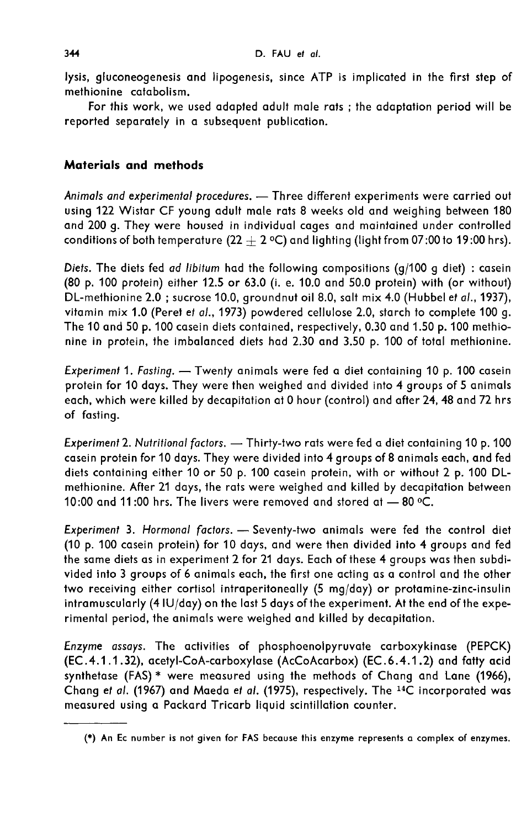lysis, gluconeogenesis and lipogenesis, since ATP is implicated in the first step of methionine catabolism.

For this work, we used adapted adult male rats ; the adaptation period will be reported separately in a subsequent publication.

# Materials and methods

Animals and experimental procedures. - Three different experiments were carried out using 122 Wistar CF young adult male rats 8 weeks old and weighing between 180 and 200 g. They were housed in individual cages and maintained under controlled conditions of both temperature (22  $+$  2 °C) and lighting (light from 07:00 to 19:00 hrs).

Diets. The diets fed ad libitum had the following compositions (g/100 g diet) : casein (80 p. 100 protein) either 12.5 or 63.0 (i. e. 10.0 and 50.0 protein) with (or without) DL-methionine 2.0 ; sucrose 10.0, groundnut oil 8.0, salt mix 4.0 (Hubbel et al., 1937), vitamin mix 1.0 (Peret et al., 1973) powdered cellulose 2.0, starch to complete 100 g. The 10 and 50 p. 100 casein diets contained, respectively, 0.30 and 1.50 p. 100 methionine in protein, the imbalanced diets had 2.30 and 3.50 p. 100 of total methionine.

Experiment 1. Fasting. - Twenty animals were fed a diet containing 10 p. 100 casein protein for 10 days. They were then weighed and divided into 4 groups of 5 animals each, which were killed by decapitation at 0 hour (control) and after 24, 48 and 72 hrs of fasting.

Experiment 2. Nutritional factors. - Thirty-two rats were fed a diet containing 10 p. 100 casein protein for 10 days. They were divided into 4 groups of 8 animals each, and fed diets containing either 10 or 50 p. 100 casein protein, with or without 2 p. 100 DLmethionine. After 21 days, the rats were weighed and killed by decapitation between 10:00 and 11:00 hrs. The livers were removed and stored at  $-$  80 °C.

Experiment 3. Hormonal factors. - Seventy-two animals were fed the control diet (10 p. 100 casein protein) for 10 days, and were then divided into 4 groups and fed the same diets as in experiment 2 for 21 days. Each of these 4 groups was then subdivided into 3 groups of 6 animals each, the first one acting as a control and the other two receiving either cortisol intraperitoneally (5 mg/day) or protamine-zinc-insulin intramuscularly (4 IU/day) on the last 5 days of the experiment. At the end of the experimental period, the animals were weighed and killed by decapitation.

Enzyme assays. The activities of phosphoenolpyruvate carboxykinase (PEPCK) (EC.4.1 .1.32), acetyl-CoA-carboxylase (AcCoAcarbox) (EC.6.4.1.2) and fatty acid synthetase (FAS) \* were measured using the methods of Chang and Lane (1966), Chang et al. (1967) and Maeda et al. (1975), respectively. The 14C incorporated was measured using a Packard Tricarb liquid scintillation counter.

<sup>(\*)</sup> An Ec number is not given for FAS because this enzyme represents a complex of enzymes.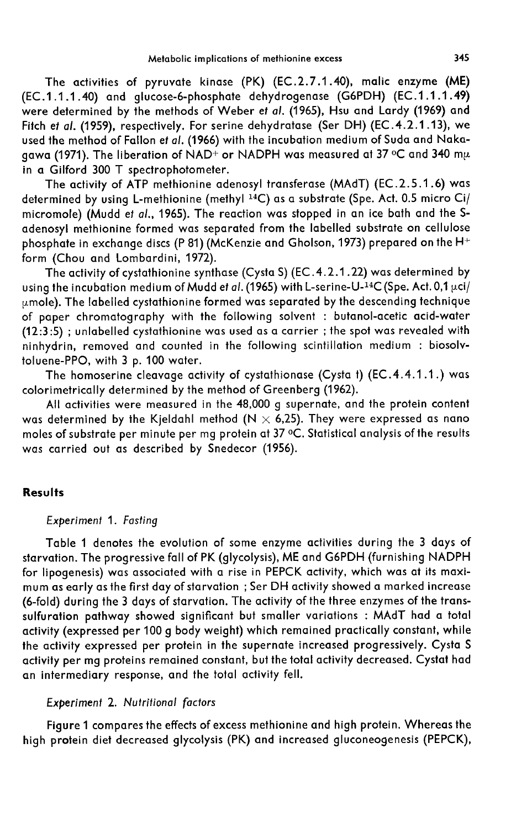The activities of pyruvate kinase (PK) (EC.2.7.1.40), malic enzyme (ME) (EC.1.1.1.40) and glucose-6-phosphate dehydrogenase (G6PDH) (EC.1.1.1.49) were determined by the methods of Weber et al. (1965), Hsu and Lardy (1969) and Fitch et al. (1959), respectively. For serine dehydratase (Ser DH) (EC.4.2.1.13), we used the method of Fallon et al. (1966) with the incubation medium of Suda and Naka-Fitch et al. (1959), respectively. For serine dehydratase (Ser DH) (EC.4.2.1.13), we<br>used the method of Fallon et al. (1966) with the incubation medium of Suda and Naka-<br>gawa (1971). The liberation of NAD+ or NADPH was mea in a Gilford 300 T spectrophotometer.

The activity of ATP methionine adenosyl transferase (MAdT) (EC.2.5.1 .6) was in a Gilford 300 T spectrophotometer.<br>The activity of ATP methionine adenosyl transferase (MAdT) (EC.2.5.1.6) was<br>determined by using L-methionine (methyl <sup>14</sup>C) as a substrate (Spe. Act. 0.5 micro Ci/<br>micromole) (Mudd et adenosyl methionine formed was separated from the labelled substrate on cellulose form (Chou and Lombardini, 1972).

adenosyl methionine formed was separated from the labelled substrate on cellulose<br>phosphate in exchange discs (P 81) (McKenzie and Gholson, 1973) prepared on the H+<br>form (Chou and Lombardini, 1972).<br>The activity of cystat The activity of cystathionine synthase (Cysta S) (EC.4.2.1.22) was determined by using the incubation medium of Mudd et al. (1965) with L-serine-U-<sup>14</sup>C (Spe. Act. 0,1 µci/  $\mu$ mole). The labelled cystathionine formed was separated by the descending technique of paper chromatography with the following solvent : butanol-acetic acid-water  $(12:3:5)$ ; unlabelled cystathionine was used as a carrier; the spot was revealed with ninhydrin, removed and counted in the following scintillation medium : biosolvtoluene-PPO, with 3 p. 100 water.

The homoserine cleavage activity of cystathionase (Cysta t) (EC.4.4.1 .1.) was colorimetrically determined by the method of Greenberg (1962).

All activities were measured in the 48,000 g supernate, and the protein content was determined by the Kjeldahl method  $(N \times 6,25)$ . They were expressed as nano moles of substrate per minute per mg protein at 37 °C. Statistical analysis of the results was carried out as described by Snedecor (1956).

### **Results**

## Experiment 1. Fasting

Table 1 denotes the evolution of some enzyme activities during the 3 days of starvation. The progressive fall of PK (glycolysis), ME and G6PDH (furnishing NADPH for lipogenesis) was associated with a rise in PEPCK activity, which was at its maximum as early as the first day of starvation ; Ser DH activity showed a marked increase (6-fold) during the 3 days of starvation. The activity of the three enzymes of the transsulfuration pathway showed significant but smaller variations : MAdT had a total activity (expressed per 100 g body weight) which remained practically constant, while the activity expressed per protein in the supernate increased progressively. Cysta S activity per mg proteins remained constant, but the total activity decreased. Cystat had an intermediary response, and the total activity fell.

# Experiment 2. Nutritional factors

Figure 1 compares the effects of excess methionine and high protein. Whereas the high protein diet decreased glycolysis (PK) and increased gluconeogenesis (PEPCK),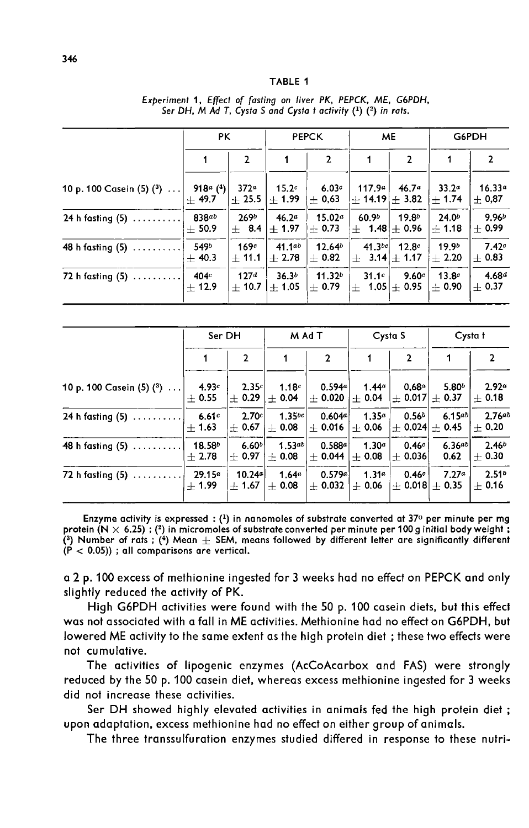#### TARIF<sub>1</sub>

|                            | <b>PK</b>                                           |                             | <b>PEPCK</b>                    |                                | ME                                     |                                    | G6PDH                        |                           |
|----------------------------|-----------------------------------------------------|-----------------------------|---------------------------------|--------------------------------|----------------------------------------|------------------------------------|------------------------------|---------------------------|
|                            |                                                     | $\overline{2}$              |                                 | $\mathbf{2}$                   |                                        | $\overline{2}$                     | 1                            | $\mathbf{2}$              |
| 10 p. 100 Casein (5) $(3)$ | 918 <sup><i>a</i></sup> ( <sup>4</sup> )<br>$+49.7$ | $372^a$<br>$+25.5$          | 15.2 <sup>c</sup><br>$+1.99$    | 6.03c<br>$\pm$ 0,63            | 117.9a<br>$+ 14.19 + 3.82$             | 46.7 <sup>a</sup>                  | 33.2 <sup>a</sup><br>$+1.74$ | $16.33^{a}$<br>$\pm$ 0,87 |
| 24 h fasting $(5)$         | 838ab<br>$+50.9$                                    | 269 <sup>b</sup><br>$+ 8.4$ | 46.2 <sup>a</sup><br>$+1.97$    | 15.02 <sup>a</sup><br>$+ 0.73$ | 60.9 <sup>b</sup><br>$ + 1.48  + 0.96$ | 19.8 <sup>b</sup>                  | 24.0 <sup>b</sup><br>$+1.18$ | $9.96^{b}$<br>$+0.99$     |
| 48 h fasting $(5)$         | 549b<br>$+40.3$                                     | 169c<br>$+11.1$             | 41.1ab<br>$+2.78$               | $12.64^{b}$<br>$+$ 0.82        | $41.3^{bc}$<br>$+$                     | 12.8 <sup>c</sup><br>$3.14 + 1.17$ | 19.9 <sup>b</sup><br>$+2.20$ | 7.42c<br>$+0.83$          |
| 72 h fasting $(5)$         | 404c<br>$+12.9$                                     | 127 <sup>d</sup><br>$+10.7$ | 36.3 <sup>b</sup><br>$\pm$ 1.05 | 11.32 <sup>b</sup><br>$+0.79$  | 31.1c<br>∤+ 1.05 +0.95                 | 9.60c                              | 13.8 <sup>c</sup><br>$+0.90$ | $4.68^{d}$<br>$\pm$ 0.37  |

Experiment 1, Effect of fasting on liver PK, PEPCK, ME, G6PDH, Ser DH, M Ad T, Cysta S and Cysta t activity (1) (2) in rats.

|                              | Ser DH                        |                   | M Ad T                         |                                                                                                                    | Cysta S       |                | Cysta t           |                              |
|------------------------------|-------------------------------|-------------------|--------------------------------|--------------------------------------------------------------------------------------------------------------------|---------------|----------------|-------------------|------------------------------|
|                              |                               | $\mathbf{2}$      |                                | $\mathbf{2}$                                                                                                       |               | $\overline{2}$ |                   | 2                            |
| 10 p. 100 Casein $(5)$ $(3)$ | 4.93c<br>$+0.55$              | 2.35c             | 1.18c<br>$\pm$ 0.29 $\pm$ 0.04 | 0.594a<br>$\left  \pm \right.0.020 \left  \pm \right.0.04 \left  \pm \right.0.017 \right  \pm \left. 0.37 \right $ | 1.44 $a$      | $0.68^a$       | 5.80 <sup>b</sup> | 2.92 <sup>a</sup><br>$+0.18$ |
| 24 h fasting $(5)$           | 6.61c<br>$+ 1.63$             | 2.70c             | $1.35^{bc}$                    | 0.604a<br>$+$ 0.67 $+$ 0.08 $+$ 0.016 $+$ 0.06 $+$ 0.024 $+$ 0.45                                                  | $1.35^a$      | $0.56^{b}$     | 6.15ab            | 2.76ab<br>$+0.20$            |
| 48 h fasting (5)             | 18.58 <sup>b</sup><br>$+2.78$ | 6.60 <sup>b</sup> | 1.53ab                         | 0.588a<br>$+$ 0.97 + 0.08 + 0.044 + 0.08 + 0.036                                                                   | 1.30 $a \mid$ | 0.46c          | 6.36ab<br>0.62    | 2.46 <sup>b</sup><br>$+0.30$ |
| 72 h fasting $(5)$           | $29.15^a$<br>$+1.99$          | 10.24a            | 1.64 $a$                       | 0.579a<br>$\pm$ 1.67 $\pm$ 0.08 $\pm$ 0.032 $\pm$ 0.06 $\pm$ 0.018 $\pm$ 0.35                                      | 1.31a         | 0.46c          | 7.27a             | 2.51 <sup>b</sup><br>$+0.16$ |

Enzyme activity is expressed :  $(1)$  in nanomoles of substrate converted at 37° per minute per mg protein  $(N \times 6.25)$ ; (2) in micromoles of substrate converted per minute per 100 g initial body weight; (3) Number of rats ; (4) Mean  $\pm$  SEM, means followed by different letter are significantly different  $(\dot{P}$  < 0.05)); all comparisons are vertical.

a 2 p. 100 excess of methionine ingested for 3 weeks had no effect on PEPCK and only slightly reduced the activity of PK.

High G6PDH activities were found with the 50 p. 100 casein diets, but this effect was not associated with a fall in ME activities. Methionine had no effect on G6PDH, but lowered ME activity to the same extent as the high protein diet ; these two effects were not cumulative.

The activities of lipogenic enzymes (AcCoAcarbox and FAS) were strongly reduced by the 50 p. 100 casein diet, whereas excess methionine ingested for 3 weeks did not increase these activities.

Ser DH showed highly elevated activities in animals fed the high protein diet ; upon adaptation, excess methionine had no effect on either group of animals.

The three transsulfuration enzymes studied differed in response to these nutri-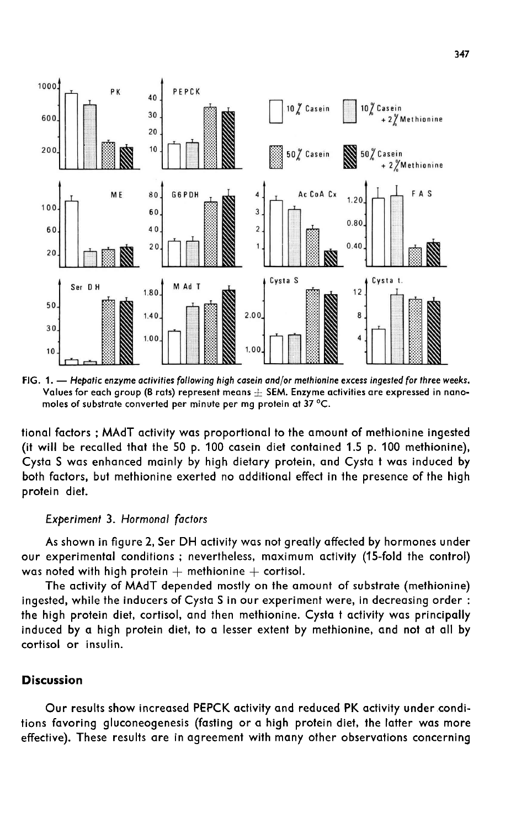

FIG. 1. - Hepatic enzyme activities following high casein and/or methionine excess ingested for three weeks. Values for each group (8 rats) represent means  $+$  SEM. Enzyme activities are expressed in nanomoles of substrate converted per minute per ma protein at 37 °C.

tional factors ; MAdT activity was proportional to the amount of methionine ingested (it will be recalled that the 50 p. 100 casein diet contained 1.5 p. 100 methionine), Cysta S was enhanced mainly by high dietary protein, and Cysta t was induced by both factors, but methionine exerted no additional effect in the presence of the high protein diet.

### Experiment 3. Hormonal factors

As shown in figure 2, Ser DH activity was not greatly affected by hormones under our experimental conditions ; nevertheless, maximum activity (15-fold the control) was noted with high protein  $+$  methionine  $+$  cortisol.

The activity of MAdT depended mostly on the amount of substrate (methionine) ingested, while the inducers of Cysta S in our experiment were, in decreasing order : the high protein diet, cortisol, and then methionine. Cysta t activity was principally induced by a high protein diet, to a lesser extent by methionine, and not at all by cortisol or insulin.

## **Discussion**

Our results show increased PEPCK activity and reduced PK activity under conditions favoring gluconeogenesis (fasting or a high protein diet, the latter was more effective). These results are in agreement with many other observations concerning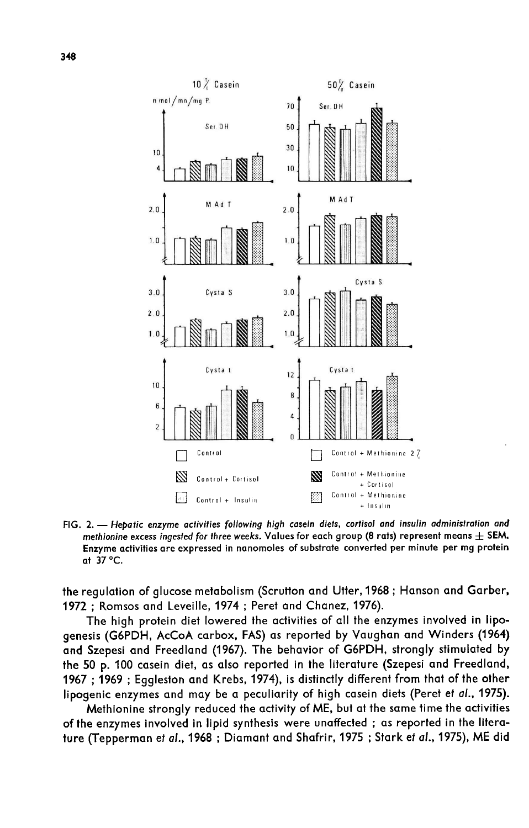

FIG. 2. - Hepatic enzyme activities following high casein diets, cortisol and insulin administration and methionine excess ingested for three weeks. Values for each group (8 rats) represent means  $\pm$  SEM. Enzyme activities are expressed in nanomoles of substrate converted per minute per mg protein at 37 °C.

the regulation of glucose metabolism (Scrutton and Utter, 1968 ; Hanson and Garber, 1972 ; Romsos and Leveille, 1974 ; Peret and Chanez, 1976).

The high protein diet lowered the activities of all the enzymes involved in lipogenesis (G6PDH, AcCoA carbox, FAS) as reported by Vaughan and Winders (1964) and Szepesi and Freedland (1967). The behavior of G6PDH, strongly stimulated by the 50 p. 100 casein diet, as also reported in the literature (Szepesi and Freedland, 1967 ; 1969 ; Eggleston and Krebs, 1974), is distinctly different from that of the other lipogenic enzymes and may be a peculiarity of high casein diets (Peret et al., 1975).

Methionine strongly reduced the activity of ME, but at the same time the activities of the enzymes involved in lipid synthesis were unaffected ; as reported in the literature (Tepperman et al., 1968 ; Diamant and Shafrir, 1975 ; Stark et al., 1975), ME did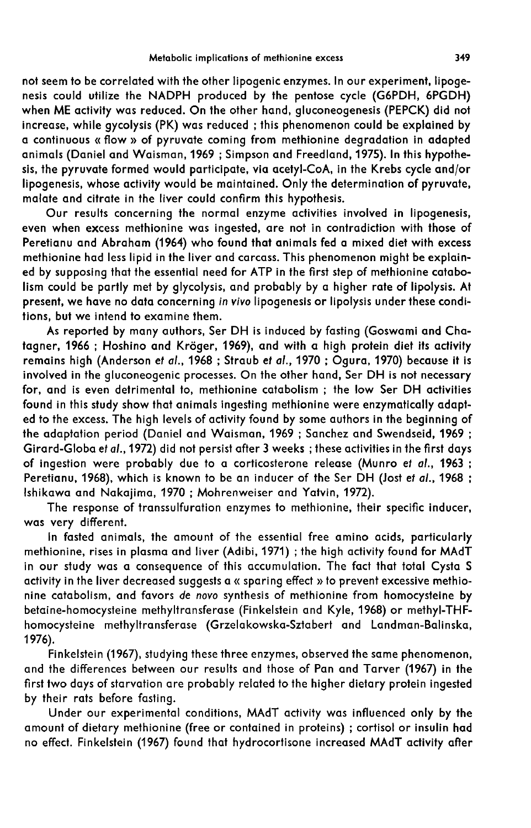not seem to be correlated with the other lipogenic enzymes. In our experiment, lipogenesis could utilize the NADPH produced by the pentose cycle (G6PDH, 6PGDH) when ME activity was reduced. On the other hand, gluconeogenesis (PEPCK) did not increase, while gycolysis (PK) was reduced ; this phenomenon could be explained by a continuous « flow » of pyruvate coming from methionine degradation in adapted animals (Daniel and Waisman, 1969 ; Simpson and Freedland, 1975). In this hypothesis, the pyruvate formed would participate, via acetyl-CoA, in the Krebs cycle and/or lipogenesis, whose activity would be maintained. Only the determination of pyruvate, malate and citrate in the liver could confirm this hypothesis.

Our results concerning the normal enzyme activities involved in lipogenesis, even when excess methionine was ingested, are not in contradiction with those of Peretianu and Abraham (1964) who found that animals fed a mixed diet with excess methionine had less lipid in the liver and carcass. This phenomenon might be explained by supposing that the essential need for ATP in the first step of methionine catabolism could be partly met by glycolysis, and probably by a higher rate of lipolysis. At present, we have no data concerning in vivo lipogenesis or lipolysis under these conditions, but we intend to examine them.

As reported by many authors, Ser DH is induced by fasting (Goswami and Chatagner, 1966 ; Hoshino and Krbger, 1969), and with a high protein diet its activity remains high (Anderson et al., 1968 ; Straub et al., 1970 ; Ogura, 1970) because it is involved in the gluconeogenic processes. On the other hand, Ser DH is not necessary for, and is even detrimental to, methionine catabolism ; the low Ser DH activities found in this study show that animals ingesting methionine were enzymatically adapted to the excess. The high levels of activity found by some authors in the beginning of the adaptation period (Daniel and Waisman, 1969 ; Sanchez and Swendseid, 1969 ; Girard-Globa et al.,1972) did not persist after 3 weeks ; these activities in the first days of ingestion were probably due to a corticosterone release (Munro et al., 1963 ; Peretianu, 1968), which is known to be an inducer of the Ser DH (Jost et al., 1968 ; Ishikawa and Nakajima, 1970 ; Mohrenweiser and Yatvin, 1972).

The response of transsulfuration enzymes to methionine, their specific inducer, was very different.

In fasted animals, the amount of the essential free amino acids, particularly methionine, rises in plasma and liver (Adibi, 1971) ; the high activity found for MAdT in our study was a consequence of this accumulation. The fact that total Cysta S activity in the liver decreased suggests a « sparing effect » to prevent excessive methionine catabolism, and favors de novo synthesis of methionine from homocysteine by betaine-homocysteine methyltransferase (Finkelstein and Kyle, 1968) or methyl-THFhomocysteine methyltransferase (Grzelakowska-Sztabert and Landman-Balinska, 1976).

Finkelstein (1967), studying these three enzymes, observed the same phenomenon, and the differences between our results and those of Pan and Tarver (1967) in the first two days of starvation are probably related to the higher dietary protein ingested by their rats before fasting.

Under our experimental conditions, MAdT activity was influenced only by the amount of dietary methionine (free or contained in proteins) ; cortisol or insulin had no effect. Finkelstein (1967) found that hydrocortisone increased MAdT activity after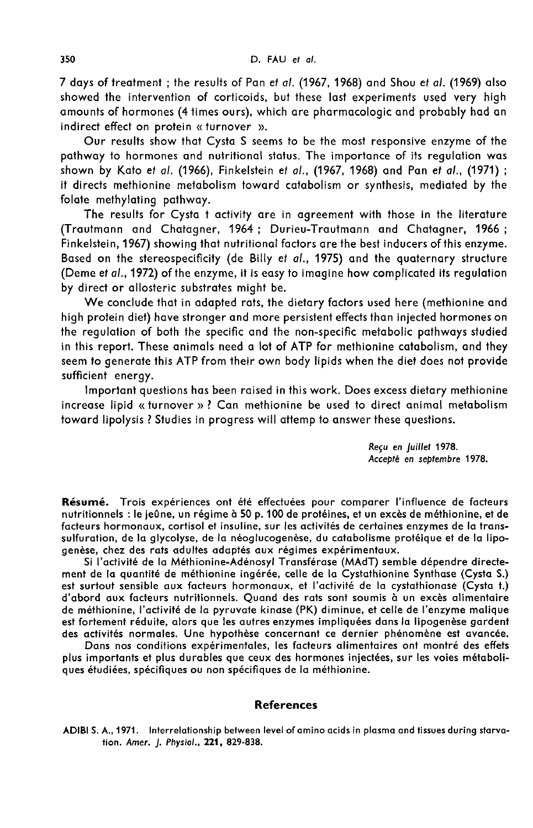7 days of treatment ; the results of Pan et al. (1967, 1968) and Shou et al. (1969) also showed the intervention of corticoids, but these last experiments used very high amounts of hormones (4 times ours), which are pharmacologic and probably had an indirect effect on protein «turnover ».

Our results show that Cysta S seems to be the most responsive enzyme of the pathway to hormones and nutritional status. The importance of its regulation was shown by Kato et al. (1966), Finkelstein et a/., (1967, 1968) and Pan et al., (1971) ; it directs methionine metabolism toward catabolism or synthesis, mediated by the folate methylating pathway.

The results for Cysta t activity are in agreement with those in the literature (Trautmann and Chatagner, 1964 ; Durieu-Trautmann and Chatagner, 1966 ; Finkelstein, 1967) showing that nutritional factors are the best inducers of this enzyme. Based on the stereospecificity (de Billy et al., 1975) and the quaternary structure (Deme et al., 1972) of the enzyme, it is easy to imagine how complicated its regulation by direct or allosteric substrates might be.

We conclude that in adapted rats, the dietary factors used here (methionine and high protein diet) have stronger and more persistent effects than injected hormones on the regulation of both the specific and the non-specific metabolic pathways studied in this report. These animals need a lot of ATP for methionine catabolism, and they seem to generate this ATP from their own body lipids when the diet does not provide sufficient energy.

Important questions has been raised in this work. Does excess dietary methionine increase lipid « turnover » ? Can methionine be used to direct animal metabolism toward lipolysis ? Studies in progress will attemp to answer these questions.

> Reçu en juillet 1978. Accept6 en septembre 1978.

Résumé. Trois expériences ont été effectuées pour comparer l'influence de facteurs nutritionnels : le jeûne, un régime à 50 p. 100 de protéines, et un excès de méthionine, et de facteurs hormonaux, cortisol et insuline, sur les activités de certaines enzymes de la transsulfuration, de la glycolyse, de la néoglucogenèse, du catabolisme protéique et de la lipogenèse, chez des rats adultes adaptés aux régimes expérimentaux.

Si l'activité de la Méthionine-Adénosyl Transférase (MAdT) semble dépendre directement de la quantité de méthionine ingérée, celle de la Cystathionine Synthase (Cysta S.) est surtout sensible aux facteurs hormonaux, et l'activité de la cystathionase (Cysta t.) d'abord aux facteurs nutritionnels. Quand des rats sont soumis à un excès alimentaire de méthionine, l'activité de la pyruvate kinase (PK) diminue, et celle de l'enzyme malique est fortement réduite, alors que les autres enzymes impliquées dans la lipogenèse gardent des activités normales. Une hypothèse concernant ce dernier phénomène est avancée.

Dans nos conditions expérimentales, les facteurs alimentaires ont montré des effets plus importants et plus durables que ceux des hormones injectées, sur les voies métaboliques étudiées, spécifiques ou non spécifiques de la méthionine.

### References

ADIBI S. A., 1971. Interrelationship between level of amino acids in plasma and tissues during starvation. Amer. J. Physiol., 221, 829-838.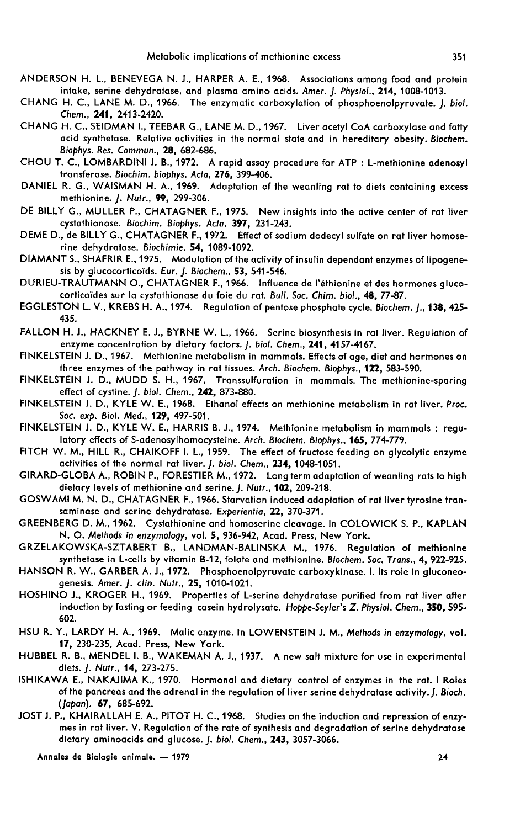- ANDERSON H. L., BENEVEGA N. J., HARPER A. E., 1968. Associations among food and protein intake, serine dehydratase, and plasma amino acids. Amer. J. Physiol., 214, 1008-1013.
- CHANG H. C., LANE M. D., 1966. The enzymatic carboxylation of phosphoenolpyruvate. J. biol. Chem., 241, 2413-2420.
- CHANG H. C., SEIDMAN I.,TEEBAR G., LANE M. D., 1967. Liver acetyl CoA carboxylase and fatty acid synthetase. Relative activities in the normal state and in hereditary obesity. Biochem. Biophys. Res. Commun., 28, 682-686.
- CHOU T. C., LOMBARDINI J. B., 1972. A rapid assay procedure for ATP : L-methionine adenosyl transferase. Biochim. biophys. Acta, 276, 399-406.
- DANIEL R. G., WAISMAN H. A., 1969. Adaptation of the weanling rat to diets containing excess methionine. J. Nutr., 99, 299-306.
- DE BILLY G., MULLER P., CHATAGNER F., 1975. New insights into the active center of rat liver cystathionase. Biochim. Biophys. Acta, 397, 231-243.
- DEME D., de BILLY G., CHATAGNER F., 1972. Effect of sodium dodecyl sulfate on rat liver homoserine dehydratase. Biochimie, 54, 1089-1092.
- DIAMANT S., SHAFRIR E., 1975. Modulation of the activity of insulin dependant enzymes of lipogenesis by glucocorticoïds. Eur. J. Biochem., 53, 541-546.
- DURIEU-TRAUTMANN O., CHATAGNER F., 1966. Influence de l'éthionine et des hormones glucocorticoides sur la cystathionase du foie du rat. Bull. Soc. Chim. biol., 48, 77-87.
- EGGLESTON L. V., KREBS H. A., 1974. Regulation of pentose phosphate cycle. Biochem. J., 138, 425- 435.
- FALLON H. J., HACKNEY E. J., BYRNE W. L., 1966. Serine biosynthesis in rat liver. Regulation of enzyme concentration by dietary factors. J. biol. Chem., 241, 4157-4167.
- FINKELSTEIN J. D., 1967. Methionine metabolism in mammals. Effects of age, diet and hormones on three enzymes of the pathway in rat tissues. Arch. Biochem. Biophys., 122, 583-590.
- FINKELSTEIN J. D., MUDD S. H., 1967. Transsulfuration in mammals. The methionine-sparing effect of cystine. J. biol. Chem., 242, 873-880.
- FINKELSTEIN J. D., KYLE W. E., 1968. Ethanol effects on methionine metabolism in rat liver. Proc. Soc. exp. Biol. Med., 129, 497-501.
- FINKELSTEIN J. D., KYLE W. E., HARRIS B. J., 1974. Methionine metabolism in mammals : regu-<br>latory effects of S-adenosylhomocysteine. Arch. Biochem. Biophys., **165,** 774-779.
- FITCH W. M., HILL R., CHAIKOFF 1. L., 1959. The effect of fructose feeding on glycolytic enzyme activities of the normal rat liver. J. biol. Chem., 234, 1048-1051.
- GIRARD-GLOBA A., ROBIN P., FORESTIER M., 1972. Long term adaptation of weanling rats to high dietary levels of methionine and serine. J. Nutr., 102, 209-218.
- GOSWAMI M. N. D., CHATAGNER F., 1966. Starvation induced adaptation of rat liver tyrosine transaminase and serine dehydratase. Experientia, 22, 370-371.
- GREENBERG D. M., 1962. Cystathionine and homoserine cleavage. In COLOWICK S. P., KAPLAN N. O. Methods in enzymology, vol. 5, 936-942, Acad. Press, New York.
- GRZELAKOWSKA-SZTABERT B., LANDMAN-BALINSKA M., 1976. Regulation of methionine synthetase in L-cells by vitamin B-12, folate and methionine. Biochem. Soc. Trans., 4, 922-925.
- HANSON R. W., GARBER A. J., 1972. Phosphoenolpyruvate carboxykinase. I. Its role in gluconeogenesis. Amer. J. clin. Nutr., 25, 1010-1021.
- HOSHINO J., KROGER H., 1969. Properties of L-serine dehydratase purified from rat liver after induction by fasting or feeding casein hydrolysate. Hoppe-Seyler's Z. Physiol. Chem., 350, 595- 602.
- HSU R. Y., LARDY H. A., 1969. Malic enzyme. In LOWENSTEIN J. M., Methods in enzymology, vol. 17, 230-235, Acad. Press, New York.
- HUBBEL R. B., MENDEL I. B., WAKEMAN A. J., 1937. A new salt mixture for use in experimental diets. J. Nutr., 14, 273-275.
- ISHIKAWA E., NAKAJIMA K., 1970. Hormonal and dietary control of enzymes in the rat. I Roles of the pancreas and the adrenal in the regulation of liver serine dehydratase activity. J. Bioch. (Japan). 67, 685-692.
- JOST J. P., KHAIRALLAH E. A., PITOT H. C., 1968. Studies on the induction and repression of enzy- mes in rat liver. V. Regulation of the rate of synthesis and degradation of serine dehydratase dietary aminoacids and glucose. J. biol. Chem., 243, 3057-3066.

Annales de Biologie animale. - 1979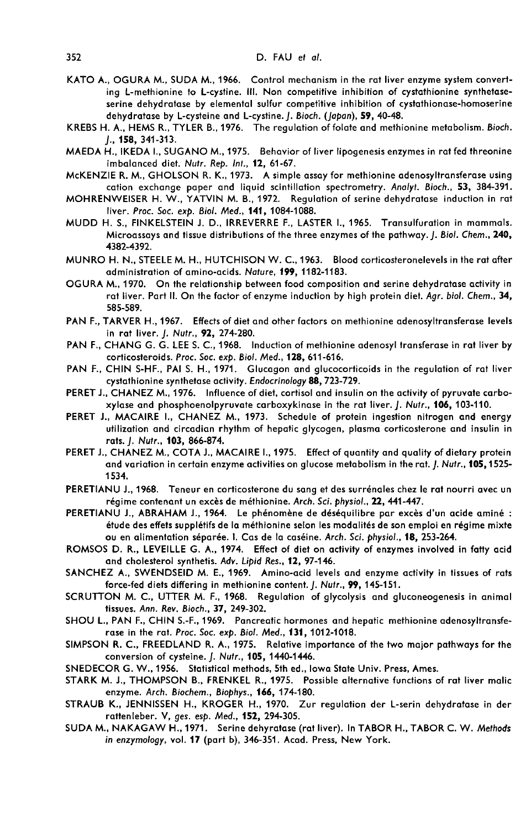- KATO A., OGURA M., SUDA M., 1966. Control mechanism in the rat liver enzyme system converting L-methionine to L-cystine. III. Non competitive inhibition of cystathionine synthetase serine dehydratase by elemental sulfur competitive inhibition of cystathionase-homoserine dehydratase by L-cysteine and L-cystine. [. Bioch. (Japan), 59, 40-48.
- KREBS H. A., HEMS R., TYLER B., 1976. The regulation of folate and methionine metabolism. Bioch. J., 158, 341-313.
- MAEDA H., IKEDA I., SUGANO M., 1975. Behavior of liver lipogenesis enzymes in rat fed threonine imbalanced diet. Nutr. Rep. Int., 12, 61-67.
- McKENZIE R. M., GHOLSON R. K., 1973. A simple assay for methionine adenosyltransferase using cation exchange paper and liquid scintillation spectrometry. Analyt. Bioch., 53, 384-391.
- MOHRENWEISER H. W., YATVIN M. B., 1972. Regulation of serine dehydratase induction in rat liver. Proc. Soc. exp. Biol. Med., 141, 1084-1088.
- MUDD H. S., FINKELSTEIN J. D., IRREVERRE F., LASTER 1., 1965. Transulfuration in mammals. Microassays and tissue distributions of the three enzymes of the pathway. J. Biol. Chem., 240, 4382-4392.
- MUNRO H. N., STEELE M. H., HUTCHISON W. C., 1963. Blood corticosteronelevels in the rat after administration of amino-acids. Nature, 199, 1182-1183.
- OGURA M., 1970. On the relationship between food composition and serine dehydratase activity in rat liver. Part II. On the factor of enzyme induction by high protein diet. Agr. biol. Chem., 34, 585-589.
- PAN F., TARVER H., 1967. Effects of diet and other factors on methionine adenosyltransferase levels in rat liver. J. Nutr., 92, 274-280.
- PAN F., CHANG G. G. LEE S. C., 1968. Induction of methionine adenosyl transferase in rat liver by<br>corticosteroids. Proc. Soc. exp. Biol. Med., 128, 611-616.
- PAN F., CHIN S-HF., PAI S. H., 1971. Glucagon and glucocorticoids in the regulation of rat liver<br>cystathionine synthetase activity. Endocrinology 88.723-729.
- PERET J., CHANEZ M., 1976. Influence of diet, cortisol and insulin on the activity of pyruvate carboxylase and phosphoenolpyruvate carboxykinase in the rat liver. J. Nutr., 106, 103-110.
- PERET J., MACAIRE I., CHANEZ M., 1973. Schedule of protein ingestion nitrogen and energy utilization and circadian rhythm of hepatic glycogen, plasma corticosterone and insulin in rats. J. Nutr., 103, 866-874.
- PERET J., CHANEZ M., COTA J., MACAIRE 1., 1975. Effect of quantity and quality of dietary protein and variation in certain enzyme activities on glucose metabolism in the rat. J. Nutr., 105, 1525-1534.
- PERETIANU J., 1968. Teneur en corticosterone du sang et des surr6nales chez le rat nourri avec un régime contenant un excès de méthionine. Arch. Sci. physiol., 22, 441-447.
- PERETIANU J., ABRAHAM J., 1964. Le phénomène de déséquilibre par excès d'un acide aminé : étude des effets supplétifs de la méthionine selon les modalités de son emploi en régime mixte<br>ou en alimentation séparée. 1. Cas de la caséine. Arch. Sci. physiol., **18,** 253-264.
- ROMSOS D. R., LEVEILLE G. A., 1974. Effect of diet on activity of enzymes involved in fatty acid.<br>and cholesterol synthetis. Adv. Lipid Res., 12, 97-146.
- SANCHEZ A., SWENDSEID M. E., 1969. Amino-acid levels and enzyme activity in tissues of rats force-fed diets differing in methionine content. J. Nutr., 99, 145-151.
- SCRUTTON M. C., UTTER M. F., 1968. Regulation of glycolysis and gluconeogenesis in animal tissues. Ann. Rev. Bioch., 37, 249-302.
- SHOU L., PAN F., CHIN S.-F., 1969. Pancreatic hormones and hepatic methionine adenosyltransfe rase in the rat. Proc. Soc. exp. Biol. Med., 131, 1012-1018.
- SIMPSON R. C., FREEDLAND R. A., 1975. Relative importance of the two major pathways for the conversion of cysteine. J. Nutr., 105, 1440-1446.
- SNEDECOR G. W., 1956, Statistical methods, 5th ed., Iowa State Univ. Press, Ames.
- STARK M. J., THOMPSON B., FRENKEL R., 1975. Possible alternative functions of rat liver malic enzyme. Arch. Biochem., Biophys., 166, 174-180.
- STRAUB K., JENNISSEN H., KROGER H., 1970. Zur regulation der L-serin dehydratase in der rattenleber. V, ges. esp. Med., 152, 294-305.
- SUDA M., NAKAGAW H.,1971. Serine dehyratase (rat liver). In TABOR H., TABOR C. W. Methods in enzymology, vol. 17 (part b), 346-351. Acad. Press, New York.